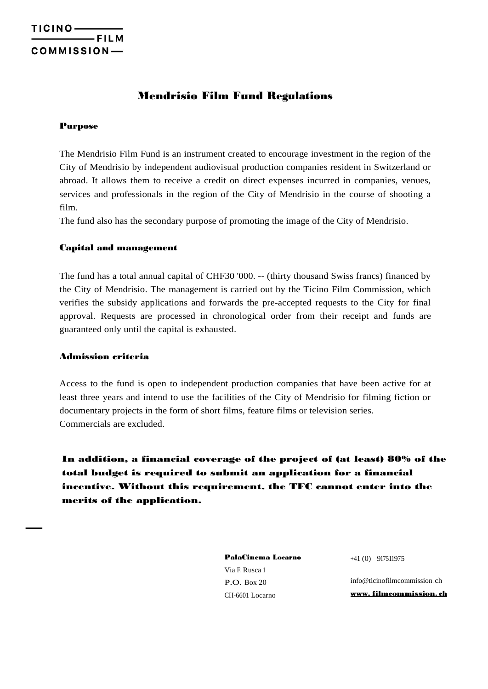# Mendrisio Film Fund Regulations

#### Purpose

The Mendrisio Film Fund is an instrument created to encourage investment in the region of the City of Mendrisio by independent audiovisual production companies resident in Switzerland or abroad. It allows them to receive a credit on direct expenses incurred in companies, venues, services and professionals in the region of the City of Mendrisio in the course of shooting a film.

The fund also has the secondary purpose of promoting the image of the City of Mendrisio.

#### Capital and management

The fund has a total annual capital of CHF30 '000, -- (thirty thousand Swiss francs) financed by the City of Mendrisio. The management is carried out by the Ticino Film Commission, which verifies the subsidy applications and forwards the pre-accepted requests to the City for final approval. Requests are processed in chronological order from their receipt and funds are guaranteed only until the capital is exhausted.

#### Admission criteria

Access to the fund is open to independent production companies that have been active for at least three years and intend to use the facilities of the City of Mendrisio for filming fiction or documentary projects in the form of short films, feature films or television series. Commercials are excluded.

In addition, a financial coverage of the project of (at least) 80% of the total budget is required to submit an application for a financial incentive. Without this requirement, the TFC cannot enter into the merits of the application.

> PalaCinema Locarno Via F. Rusca 1 P.O. Box 20 CH-6601 Locarno

+41 (0) 917511975

info@ticinofilmcommission. ch www. filmcommission. ch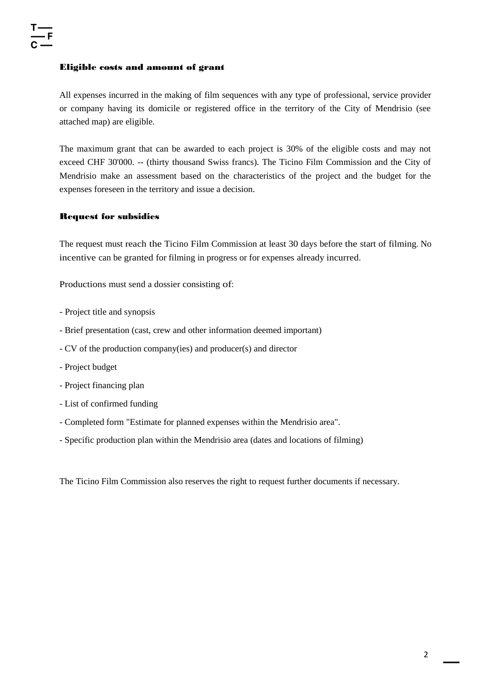#### Eligible costs and amount of grant

All expenses incurred in the making of film sequences with any type of professional, service provider or company having its domicile or registered office in the territory of the City of Mendrisio (see attached map) are eligible.

The maximum grant that can be awarded to each project is 30% of the eligible costs and may not exceed CHF 30'000. -- (thirty thousand Swiss francs). The Ticino Film Commission and the City of Mendrisio make an assessment based on the characteristics of the project and the budget for the expenses foreseen in the territory and issue a decision.

### Request for subsidies

The request must reach the Ticino Film Commission at least 30 days before the start of filming. No incentive can be granted for filming in progress or for expenses already incurred.

Productions must send a dossier consisting of:

- Project title and synopsis
- Brief presentation (cast, crew and other information deemed important)
- CV of the production company(ies) and producer(s) and director
- Project budget
- Project financing plan
- List of confirmed funding
- Completed form "Estimate for planned expenses within the Mendrisio area".
- Specific production plan within the Mendrisio area (dates and locations of filming)

The Ticino Film Commission also reserves the right to request further documents if necessary.